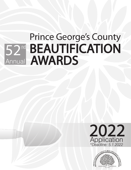# REALITIEICATION 52<sup>md</sup> BEAUTIFICATION **AWARDS** Annual **REALITIEICATION** 52<sup>nd</sup> BEAUTIFICATION **AWARDS** Annual



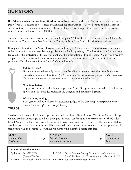# **OUR STORY**

**The Prince George's County Beautification Committee** was established in 1960 as the citizens' advisory group for matters related to street trees and landscaping programs. In 1965 we became an official arm of the Prince George's County Government. On Arbor Day, we work to plant trees and educate our younger generations on the importance of TREES.

Committee members were instrumental in establishing the Willow Oak as the County tree, the Glenn Dale Azalea as the County shrub, Bee Balm as the County herb, and the Daffodil as the County flower.

Through our Beautification Awards Program, Prince George's County honors those who have contributed to the community through excellence in gardening and landscape design. The Beautification Committee is dedicated to the protection of the environment and the preservation of Prince George's County as a healthy and pleasant place to live and work. At our annual awards ceremony, we recognize those citizens whose gardening efforts help make Prince George's County beautiful.



## **Call for Entries!**

You are encouraged to apply on your own behalf or nominate a friend or neighbor whose property you consider beautiful. *If a friend or neighbor is nominating a garden, they must have the nominee fill out the photography wavier section in this application.*

### **Who May Enter?**

Any person or group maintaining property in Prince George's County is invited to submit an application (this includes professionally designed and maintained gardens).

### **What About Judging?**

Each garden will be evaluated by accredited judges of the *University of Maryland Extension Master Gardeners of Prince George's County*.

### **AWARDS**

Based on the judge's evaluation, first year winners will be given a Beautification Certificate Award. First year winners are then encouraged to submit their gardens every year for up to five years to receive the Golden Trowel Award. Golden Trowel Award winners will have their names entered into the Horticultural Hall of Excellence on the sixth year. Awards will be presented at the annual awards ceremony and reception for all participants held in September. Winning recipients will be notified before this date.

| <b>YEAR1</b><br><b>Beautification</b><br>Certificate | $\cdots$ | <b>YEARS 2-5</b><br><b>Superior Sustained</b><br>Maintenance Award |                                                                                                                 |  | YEAR <sub>6</sub><br><b>Golden Trowel</b><br>Award |
|------------------------------------------------------|----------|--------------------------------------------------------------------|-----------------------------------------------------------------------------------------------------------------|--|----------------------------------------------------|
| For more information contact                         |          |                                                                    |                                                                                                                 |  |                                                    |
| By Phone: 301-627-7758<br>(Brooke Westby)            |          |                                                                    | By Mail: Prince George's County Beautification Committee<br>Post Office Box 143, Upper Marlboro, Maryland 20773 |  |                                                    |
| Website:                                             |          |                                                                    | www.pgcbeautification.com By Email: pgc.beautification@gmail.com                                                |  |                                                    |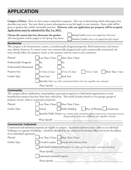# **APPLICATION**

**Category of Entry:** There are three major competition categories. Take care in determining which subcategory best describes your entry. You may check as many subcategories as you feel apply to your situation. Extra credit will be given to gardens that exhibit sustainable practices. **However, only one application per property will be accepted. Applications must be submitted by May 1st, 2022.** 

| Choose the season that best showcases the garden:           | Spring Garden (entry to be judged from May-June)    |
|-------------------------------------------------------------|-----------------------------------------------------|
| All school gardens will be judged in the Spring time frame. | Summer Garden (entry to be judged from July-August) |

#### **Residential**

This category is for homeowners, renters, or professionally designed properties. Both homeowners and renters may submit; however, if a renter's entry was commercially designed and is also commercially maintained, the entry should reflect the property owner as the nominee and the renter as the nominator.

| Planted:                   | Less Than 3 Years<br>More Than 3 Years                                                    |  |  |
|----------------------------|-------------------------------------------------------------------------------------------|--|--|
| Professionally Designed:   | Yes<br>No                                                                                 |  |  |
| Professionally Maintained: | Yes<br>$\mathbb{N}_{0}$                                                                   |  |  |
| <b>Property Size:</b>      | 1/4 Acre or Less<br>$1/4$ to $1/2$ Acre<br>$1/2$ to 1 Acre<br>More Than 1 Acre            |  |  |
| Garden Type:               | Front Yard<br><b>Back Yard</b>                                                            |  |  |
|                            | Specialty Area (e.g., herb, oriental, patio/deck, rock, rose, vegetable, rain, xeriscape) |  |  |
|                            | Please Specify:                                                                           |  |  |

#### **Community**

This category allows subdivisions, municipalities, government agencies or faith-based organizations to enter beautification projects that have been done collectively. This would include schools or civic groups, groups of property owners, clubs or community properties.

| Planted:     | Less Than 3 Years More Than 3 Years                                                                                                                                     |  |  |
|--------------|-------------------------------------------------------------------------------------------------------------------------------------------------------------------------|--|--|
| Garden Type: | Public Building Place of Worship Community<br>School                                                                                                                    |  |  |
|              | Specialty Public Project (e.g., median, road, community garden, common area, community entrance,<br>playground/recreation area, wildflower, rain, vegetable, xeriscape) |  |  |
|              | Please Specify:                                                                                                                                                         |  |  |

#### **Commercial / Industrial**

Commercial and industrial properties are eligible to compete. Apartment common areas – either as an individual building or as a group of buildings – should be identified by the address of the business office and not by the address of an individual's apartment.

| Planted:     | Less Than 3 Years More Than 3 Years                                                        |  |  |
|--------------|--------------------------------------------------------------------------------------------|--|--|
| Garden Type: | Overall Complex   Entrances/Common Areas                                                   |  |  |
|              | Individual Commercial Property (i.e., bank, grocery, gas station, restaurant, retail shop) |  |  |
|              | Please Specify:                                                                            |  |  |
|              | Individual Industrial Property                                                             |  |  |
|              | Please Specify:                                                                            |  |  |